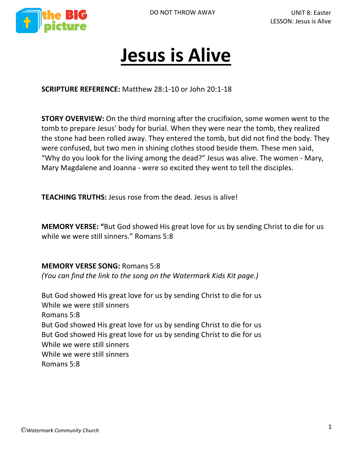



# **Jesus is Alive**

**SCRIPTURE REFERENCE:** Matthew 28:1-10 or John 20:1-18

**STORY OVERVIEW:** On the third morning after the crucifixion, some women went to the tomb to prepare Jesus' body for burial. When they were near the tomb, they realized the stone had been rolled away. They entered the tomb, but did not find the body. They were confused, but two men in shining clothes stood beside them. These men said, "Why do you look for the living among the dead?" Jesus was alive. The women - Mary, Mary Magdalene and Joanna - were so excited they went to tell the disciples.

**TEACHING TRUTHS:** Jesus rose from the dead. Jesus is alive!

**MEMORY VERSE: "**But God showed His great love for us by sending Christ to die for us while we were still sinners." Romans 5:8

**MEMORY VERSE SONG:** Romans 5:8 *(You can find the link to the song on the Watermark Kids Kit page.)*

But God showed His great love for us by sending Christ to die for us While we were still sinners Romans 5:8 But God showed His great love for us by sending Christ to die for us But God showed His great love for us by sending Christ to die for us While we were still sinners While we were still sinners Romans 5:8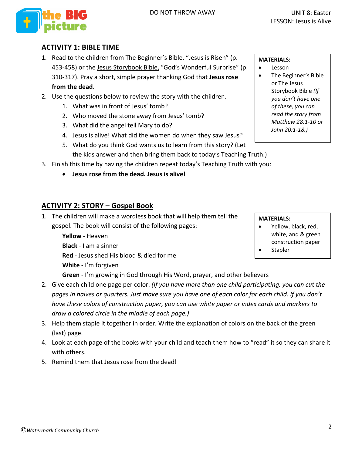

#### **ACTIVITY 1: BIBLE TIME**

- 1. Read to the children from The Beginner's Bible, "Jesus is Risen" (p. 453-458) or the Jesus Storybook Bible, "God's Wonderful Surprise" (p. 310-317). Pray a short, simple prayer thanking God that **Jesus rose from the dead**.
- 2. Use the questions below to review the story with the children.
	- 1. What was in front of Jesus' tomb?
	- 2. Who moved the stone away from Jesus' tomb?
	- 3. What did the angel tell Mary to do?
	- 4. Jesus is alive! What did the women do when they saw Jesus?
	- 5. What do you think God wants us to learn from this story? (Let the kids answer and then bring them back to today's Teaching Truth.)
- 3. Finish this time by having the children repeat today's Teaching Truth with you:
	- **Jesus rose from the dead. Jesus is alive!**

## **ACTIVITY 2: STORY – Gospel Book**

1. The children will make a wordless book that will help them tell the gospel. The book will consist of the following pages:

> **Yellow** - Heaven **Black** - I am a sinner **Red** - Jesus shed His blood & died for me **White** - I'm forgiven

**Green** - I'm growing in God through His Word, prayer, and other believers

- 2. Give each child one page per color. *(If you have more than one child participating, you can cut the pages in halves or quarters. Just make sure you have one of each color for each child. If you don't have these colors of construction paper, you can use white paper or index cards and markers to draw a colored circle in the middle of each page.)*
- 3. Help them staple it together in order. Write the explanation of colors on the back of the green (last) page.
- 4. Look at each page of the books with your child and teach them how to "read" it so they can share it with others.
- 5. Remind them that Jesus rose from the dead!

#### **MATERIALS:**

- Lesson
- The Beginner's Bible or The Jesus Storybook Bible *(If you don't have one of these, you can read the story from Matthew 28:1-10 or John 20:1-18.)*

**MATERIALS:**

- Yellow, black, red, white, and & green construction paper
- **Stapler**